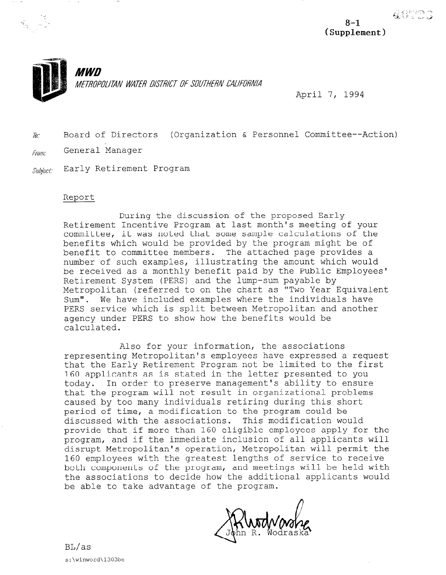

METROPOLITAN WATER DISTRICT OF SOUTHERN CALIFORNIA

April 7, 1994

 $\bar{p}_i$ . Board of Directors (Organization & Personnel Committee--Action) From: General Manager

Subject: Early Retirement Program

*MWD* 

## Report

During the discussion of the proposed Early Retirement Incentive Program at last month's meeting of your committee, it was noted that some sample calculations of the benefits which would be provided by the program might be of benefit to committee members. The attached page provides a number of such examples, illustrating the amount which would be received as a monthly benefit paid by the Public Employees' Retirement System (PERS) and the lump-sum payable by Metropolitan (referred to on the chart as "Two Year Equivalent Sum". We have included examples where the individuals have PERS service which is split between Metropolitan and another agency under PERS to show how the benefits would be calculated.

Also for your information, the associations representing Metropolitan's employees have expressed a request that the Early Retirement Program not be limited to the first 160 applicants as is stated in the letter presented to you today. In order to preserve management's ability to ensure that the program will not result in organizational problems caused by too many individuals retiring during this short period of time, a modification to the program could be discussed with the associations. This modification would provide that if more than 160 eligible employees apply for the program, and if the immediate inclusion of all applicants will disrupt Metropolitan's operation, Metropolitan will permit the 160 employees with the greatest lengths of service to receive both components of the program, and meetings will be held with the associations to decide how the additional applicants would be able to take advantage of the program.

4.4177

 $8 - 1$ (Supplement)